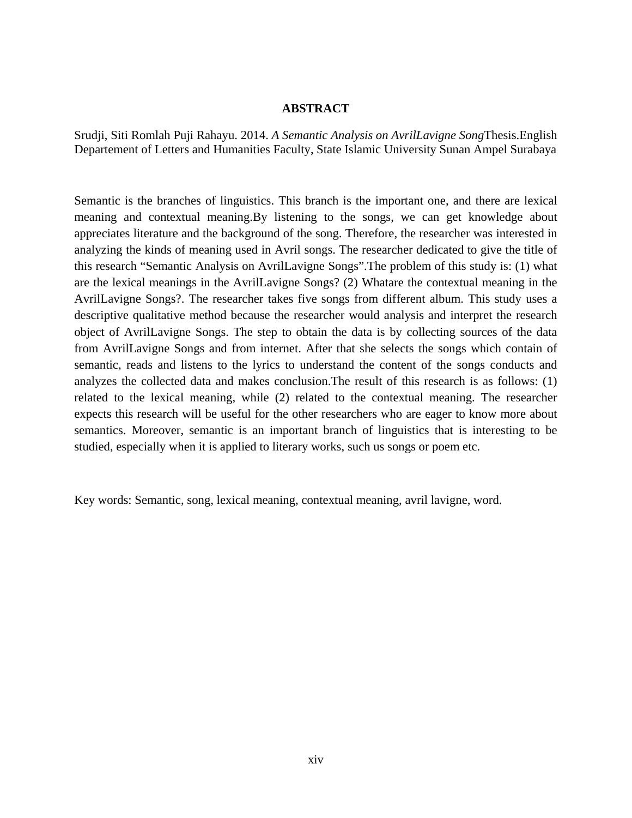## **ABSTRACT**

Srudji, Siti Romlah Puji Rahayu. 2014. *A Semantic Analysis on AvrilLavigne Song*Thesis.English Departement of Letters and Humanities Faculty, State Islamic University Sunan Ampel Surabaya

Semantic is the branches of linguistics. This branch is the important one, and there are lexical meaning and contextual meaning.By listening to the songs, we can get knowledge about appreciates literature and the background of the song. Therefore, the researcher was interested in analyzing the kinds of meaning used in Avril songs. The researcher dedicated to give the title of this research "Semantic Analysis on AvrilLavigne Songs".The problem of this study is: (1) what are the lexical meanings in the AvrilLavigne Songs? (2) Whatare the contextual meaning in the AvrilLavigne Songs?. The researcher takes five songs from different album. This study uses a descriptive qualitative method because the researcher would analysis and interpret the research object of AvrilLavigne Songs. The step to obtain the data is by collecting sources of the data from AvrilLavigne Songs and from internet. After that she selects the songs which contain of semantic, reads and listens to the lyrics to understand the content of the songs conducts and analyzes the collected data and makes conclusion.The result of this research is as follows: (1) related to the lexical meaning, while (2) related to the contextual meaning. The researcher expects this research will be useful for the other researchers who are eager to know more about semantics. Moreover, semantic is an important branch of linguistics that is interesting to be studied, especially when it is applied to literary works, such us songs or poem etc.

Key words: Semantic, song, lexical meaning, contextual meaning, avril lavigne, word.